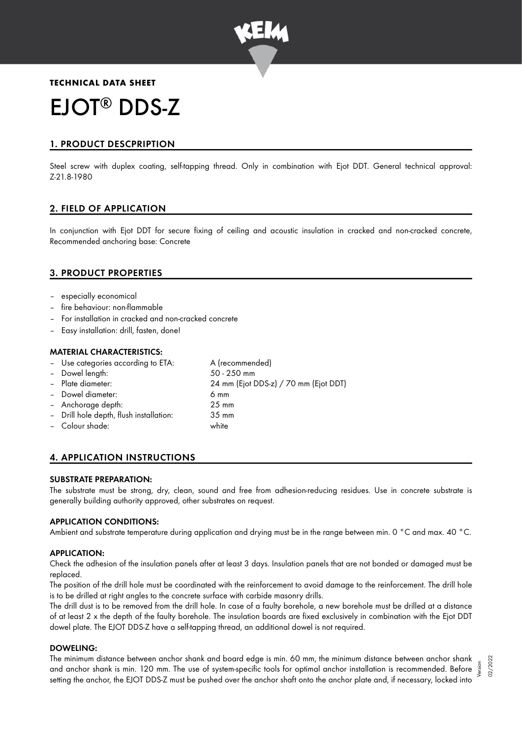

# **TECHNICAL DATA SHEET** EJOT<sup>®</sup> DDS-Z

# 1. PRODUCT DESCPRIPTION

Steel screw with duplex coating, self-tapping thread. Only in combination with Ejot DDT. General technical approval: Z-21.8-1980

# 2. FIELD OF APPLICATION

In conjunction with Ejot DDT for secure fixing of ceiling and acoustic insulation in cracked and non-cracked concrete, Recommended anchoring base: Concrete

# 3. PRODUCT PROPERTIES

- especially economical
- fire behaviour: non-flammable
- For installation in cracked and non-cracked concrete
- Easy installation: drill, fasten, done!

## MATERIAL CHARACTERISTICS:

Use categories according to ETA: A (recommended) – Dowel length: 50 - 250 mm – Plate diameter: 24 mm (Ejot DDS-z) / 70 mm (Ejot DDT) – Dowel diameter: 6 mm – Anchorage depth: 25 mm – Drill hole depth, flush installation: 35 mm – Colour shade: white

# 4. APPLICATION INSTRUCTIONS

## SUBSTRATE PREPARATION:

The substrate must be strong, dry, clean, sound and free from adhesion-reducing residues. Use in concrete substrate is generally building authority approved, other substrates on request.

## APPLICATION CONDITIONS:

Ambient and substrate temperature during application and drying must be in the range between min. 0 °C and max. 40 °C.

## APPLICATION:

Check the adhesion of the insulation panels after at least 3 days. Insulation panels that are not bonded or damaged must be replaced.

The position of the drill hole must be coordinated with the reinforcement to avoid damage to the reinforcement. The drill hole is to be drilled at right angles to the concrete surface with carbide masonry drills.

The drill dust is to be removed from the drill hole. In case of a faulty borehole, a new borehole must be drilled at a distance of at least 2 x the depth of the faulty borehole. The insulation boards are fixed exclusively in combination with the Ejot DDT dowel plate. The EJOT DDS-Z have a self-tapping thread, an additional dowel is not required.

## DOWELING:

The minimum distance between anchor shank and board edge is min. 60 mm, the minimum distance between anchor shank and anchor shank is min. 120 mm. The use of system-specific tools for optimal anchor installation is recommended. Before setting the anchor, the EJOT DDS-Z must be pushed over the anchor shaft onto the anchor plate and, if necessary, locked into

Version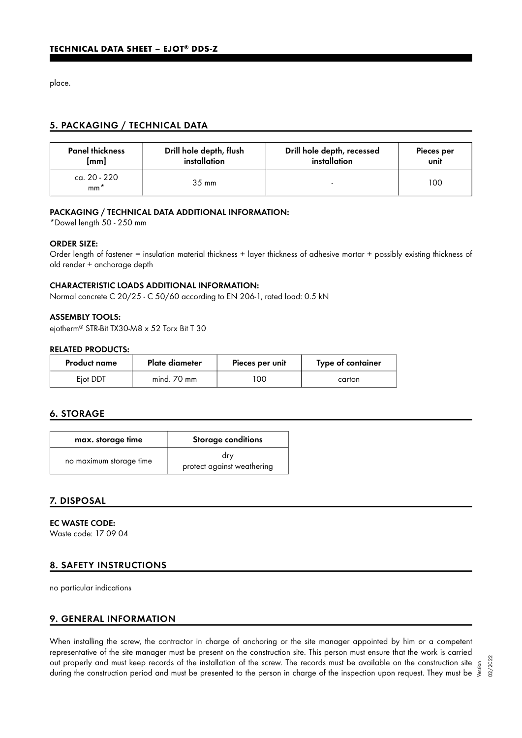place.

# 5. PACKAGING / TECHNICAL DATA

| <b>Panel thickness</b> | Drill hole depth, flush | Drill hole depth, recessed | Pieces per |
|------------------------|-------------------------|----------------------------|------------|
| [mm]                   | installation            | installation               | unit       |
| ca. 20 - 220<br>$mm^*$ | $35 \text{ mm}$         |                            | 100        |

## PACKAGING / TECHNICAL DATA ADDITIONAL INFORMATION:

\*Dowel length 50 - 250 mm

#### ORDER SIZE:

Order length of fastener = insulation material thickness + layer thickness of adhesive mortar + possibly existing thickness of old render + anchorage depth

## CHARACTERISTIC LOADS ADDITIONAL INFORMATION:

Normal concrete C 20/25 - C 50/60 according to EN 206-1, rated load: 0.5 kN

## ASSEMBLY TOOLS:

ejotherm® STR-Bit TX30-M8 x 52 Torx Bit T 30

#### RELATED PRODUCTS:

| <b>Product name</b> | Plate diameter | Pieces per unit | Type of container |
|---------------------|----------------|-----------------|-------------------|
| Ejot DDT            | mind. 70 mm    | 00              | carton            |

## 6. STORAGE

| max. storage time       | <b>Storage conditions</b>         |  |
|-------------------------|-----------------------------------|--|
| no maximum storage time | drv<br>protect against weathering |  |

## 7. DISPOSAL

EC WASTE CODE: Waste code: 17 09 04

## 8. SAFETY INSTRUCTIONS

no particular indications

## 9. GENERAL INFORMATION

When installing the screw, the contractor in charge of anchoring or the site manager appointed by him or a competent representative of the site manager must be present on the construction site. This person must ensure that the work is carried out properly and must keep records of the installation of the screw. The records must be available on the construction site out properly and must keep records of the installation of the screw. The records must be available on the construction site  $\frac{5}{5}$ <br>during the construction period and must be presented to the person in charge of the insp